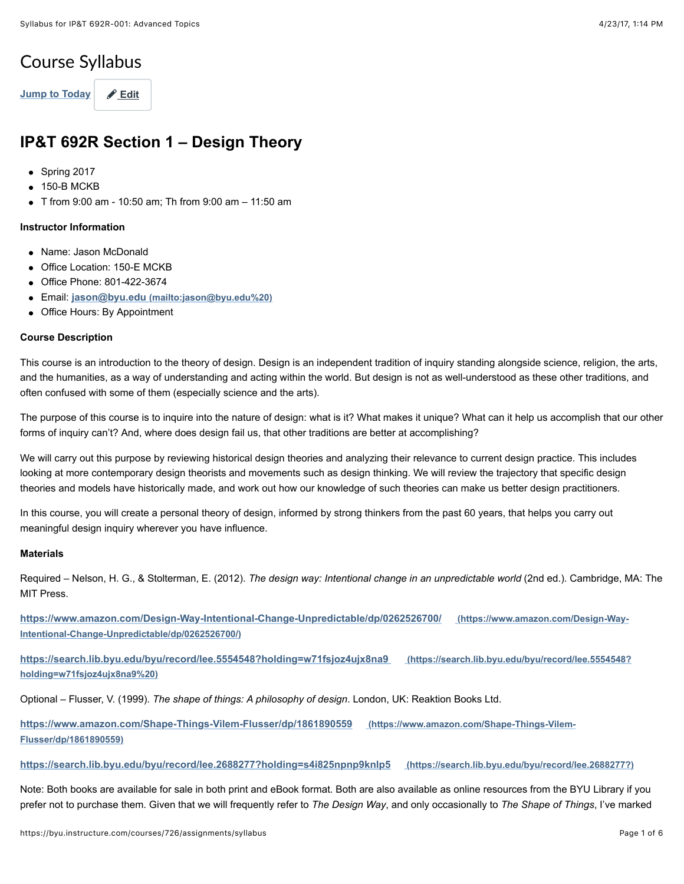# Course Syllabus

[Jump to Today](https://byu.instructure.com/courses/726/assignments/syllabus#) **A** [Edit](https://byu.instructure.com/courses/726/assignments/syllabus#)

# **IP&T 692R Section 1 – Design Theory**

- Spring 2017
- 150-B MCKB
- T from 9:00 am 10:50 am; Th from 9:00 am 11:50 am

#### **Instructor Information**

- Name: Jason McDonald
- Office Location: 150-F MCKB
- Office Phone: 801-422-3674
- Email: **[jason@byu.edu \(mailto:jason@byu.edu%20\)](mailto:jason@byu.edu%20)**
- Office Hours: By Appointment

### **Course Description**

This course is an introduction to the theory of design. Design is an independent tradition of inquiry standing alongside science, religion, the arts, and the humanities, as a way of understanding and acting within the world. But design is not as well-understood as these other traditions, and often confused with some of them (especially science and the arts).

The purpose of this course is to inquire into the nature of design: what is it? What makes it unique? What can it help us accomplish that our other forms of inquiry can't? And, where does design fail us, that other traditions are better at accomplishing?

We will carry out this purpose by reviewing historical design theories and analyzing their relevance to current design practice. This includes looking at more contemporary design theorists and movements such as design thinking. We will review the trajectory that specific design theories and models have historically made, and work out how our knowledge of such theories can make us better design practitioners.

In this course, you will create a personal theory of design, informed by strong thinkers from the past 60 years, that helps you carry out meaningful design inquiry wherever you have influence.

## **Materials**

Required – Nelson, H. G., & Stolterman, E. (2012). *The design way: Intentional change in an unpredictable world* (2nd ed.). Cambridge, MA: The MIT Press.

**[https://www.amazon.com/Design-Way-Intentional-Change-Unpredictable/dp/0262526700/ \(https://www.amazon.com/Design-Way-](https://www.amazon.com/Design-Way-Intentional-Change-Unpredictable/dp/0262526700/)Intentional-Change-Unpredictable/dp/0262526700/)**

**[https://search.lib.byu.edu/byu/record/lee.5554548?holding=w71fsjoz4ujx8na9 \(https://search.lib.byu.edu/byu/record/lee.5554548?](https://search.lib.byu.edu/byu/record/lee.5554548?holding=w71fsjoz4ujx8na9%20) holding=w71fsjoz4ujx8na9%20)**

Optional – Flusser, V. (1999). *The shape of things: A philosophy of design*. London, UK: Reaktion Books Ltd.

**[https://www.amazon.com/Shape-Things-Vilem-Flusser/dp/1861890559 \(https://www.amazon.com/Shape-Things-Vilem-](https://www.amazon.com/Shape-Things-Vilem-Flusser/dp/1861890559)Flusser/dp/1861890559)**

#### **[https://search.lib.byu.edu/byu/record/lee.2688277?holding=s4i825npnp9knlp5 \(https://search.lib.byu.edu/byu/record/lee.2688277?\)](https://search.lib.byu.edu/byu/record/lee.2688277?)**

Note: Both books are available for sale in both print and eBook format. Both are also available as online resources from the BYU Library if you prefer not to purchase them. Given that we will frequently refer to *The Design Way*, and only occasionally to *The Shape of Things*, I've marked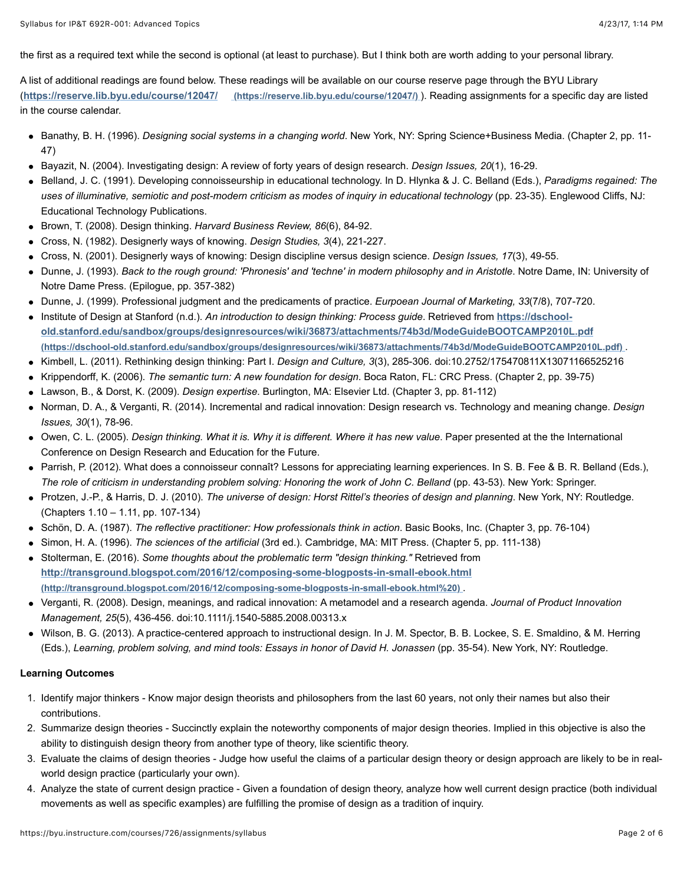the first as a required text while the second is optional (at least to purchase). But I think both are worth adding to your personal library.

A list of additional readings are found below. These readings will be available on our course reserve page through the BYU Library (**[https://reserve.lib.byu.edu/course/12047/ \(https://reserve.lib.byu.edu/course/12047/\)](https://reserve.lib.byu.edu/course/12047/)** ). Reading assignments for a specific day are listed in the course calendar.

- Banathy, B. H. (1996). *Designing social systems in a changing world*. New York, NY: Spring Science+Business Media. (Chapter 2, pp. 11- 47)
- Bayazit, N. (2004). Investigating design: A review of forty years of design research. *Design Issues, 20*(1), 16-29.
- Belland, J. C. (1991). Developing connoisseurship in educational technology. In D. Hlynka & J. C. Belland (Eds.), *Paradigms regained: The uses of illuminative, semiotic and post-modern criticism as modes of inquiry in educational technology* (pp. 23-35). Englewood Cliffs, NJ: Educational Technology Publications.
- Brown, T. (2008). Design thinking. *Harvard Business Review, 86*(6), 84-92.
- Cross, N. (1982). Designerly ways of knowing. *Design Studies, 3*(4), 221-227.
- Cross, N. (2001). Designerly ways of knowing: Design discipline versus design science. *Design Issues, 17*(3), 49-55.
- Dunne, J. (1993). *Back to the rough ground: 'Phronesis' and 'techne' in modern philosophy and in Aristotle*. Notre Dame, IN: University of Notre Dame Press. (Epilogue, pp. 357-382)
- Dunne, J. (1999). Professional judgment and the predicaments of practice. *Eurpoean Journal of Marketing, 33*(7/8), 707-720.
- Institute of Design at Stanford (n.d.). An introduction to design thinking: Process guide. Retrieved from https://dschool**[old.stanford.edu/sandbox/groups/designresources/wiki/36873/attachments/74b3d/ModeGuideBOOTCAMP2010L.pdf](https://dschool-old.stanford.edu/sandbox/groups/designresources/wiki/36873/attachments/74b3d/ModeGuideBOOTCAMP2010L.pdf) (https://dschool-old.stanford.edu/sandbox/groups/designresources/wiki/36873/attachments/74b3d/ModeGuideBOOTCAMP2010L.pdf)** .
- Kimbell, L. (2011). Rethinking design thinking: Part I. *Design and Culture, 3*(3), 285-306. doi:10.2752/175470811X13071166525216
- Krippendorff, K. (2006). *The semantic turn: A new foundation for design*. Boca Raton, FL: CRC Press. (Chapter 2, pp. 39-75)
- Lawson, B., & Dorst, K. (2009). *Design expertise*. Burlington, MA: Elsevier Ltd. (Chapter 3, pp. 81-112)
- Norman, D. A., & Verganti, R. (2014). Incremental and radical innovation: Design research vs. Technology and meaning change. *Design Issues, 30*(1), 78-96.
- Owen, C. L. (2005). *Design thinking. What it is. Why it is different. Where it has new value*. Paper presented at the the International Conference on Design Research and Education for the Future.
- Parrish, P. (2012). What does a connoisseur connaît? Lessons for appreciating learning experiences. In S. B. Fee & B. R. Belland (Eds.), *The role of criticism in understanding problem solving: Honoring the work of John C. Belland* (pp. 43-53). New York: Springer.
- Protzen, J.-P., & Harris, D. J. (2010). *The universe of design: Horst Rittel's theories of design and planning*. New York, NY: Routledge. (Chapters 1.10 – 1.11, pp. 107-134)
- Schön, D. A. (1987). *The reflective practitioner: How professionals think in action*. Basic Books, Inc. (Chapter 3, pp. 76-104)
- Simon, H. A. (1996). *The sciences of the artificial* (3rd ed.). Cambridge, MA: MIT Press. (Chapter 5, pp. 111-138)
- Stolterman, E. (2016). *Some thoughts about the problematic term "design thinking."* Retrieved from **[http://transground.blogspot.com/2016/12/composing-some-blogposts-in-small-ebook.html](http://transground.blogspot.com/2016/12/composing-some-blogposts-in-small-ebook.html%20) (http://transground.blogspot.com/2016/12/composing-some-blogposts-in-small-ebook.html%20)** .
- Verganti, R. (2008). Design, meanings, and radical innovation: A metamodel and a research agenda. *Journal of Product Innovation Management, 25*(5), 436-456. doi:10.1111/j.1540-5885.2008.00313.x
- Wilson, B. G. (2013). A practice-centered approach to instructional design. In J. M. Spector, B. B. Lockee, S. E. Smaldino, & M. Herring (Eds.), *Learning, problem solving, and mind tools: Essays in honor of David H. Jonassen* (pp. 35-54). New York, NY: Routledge.

#### **Learning Outcomes**

- 1. Identify major thinkers Know major design theorists and philosophers from the last 60 years, not only their names but also their contributions.
- 2. Summarize design theories Succinctly explain the noteworthy components of major design theories. Implied in this objective is also the ability to distinguish design theory from another type of theory, like scientific theory.
- 3. Evaluate the claims of design theories Judge how useful the claims of a particular design theory or design approach are likely to be in realworld design practice (particularly your own).
- 4. Analyze the state of current design practice Given a foundation of design theory, analyze how well current design practice (both individual movements as well as specific examples) are fulfilling the promise of design as a tradition of inquiry.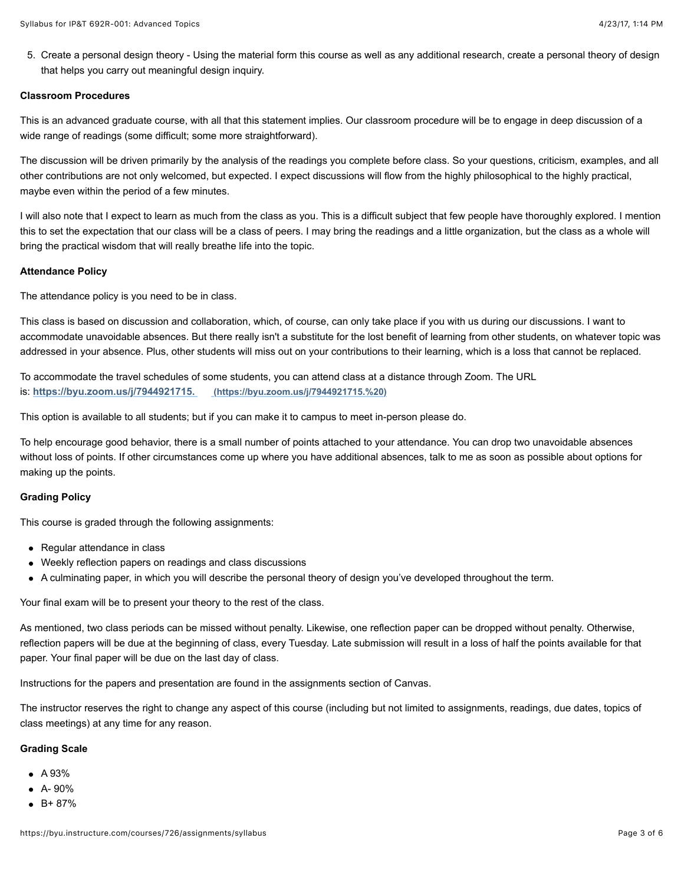5. Create a personal design theory - Using the material form this course as well as any additional research, create a personal theory of design that helps you carry out meaningful design inquiry.

#### **Classroom Procedures**

This is an advanced graduate course, with all that this statement implies. Our classroom procedure will be to engage in deep discussion of a wide range of readings (some difficult; some more straightforward).

The discussion will be driven primarily by the analysis of the readings you complete before class. So your questions, criticism, examples, and all other contributions are not only welcomed, but expected. I expect discussions will flow from the highly philosophical to the highly practical, maybe even within the period of a few minutes.

I will also note that I expect to learn as much from the class as you. This is a difficult subject that few people have thoroughly explored. I mention this to set the expectation that our class will be a class of peers. I may bring the readings and a little organization, but the class as a whole will bring the practical wisdom that will really breathe life into the topic.

#### **Attendance Policy**

The attendance policy is you need to be in class.

This class is based on discussion and collaboration, which, of course, can only take place if you with us during our discussions. I want to accommodate unavoidable absences. But there really isn't a substitute for the lost benefit of learning from other students, on whatever topic was addressed in your absence. Plus, other students will miss out on your contributions to their learning, which is a loss that cannot be replaced.

To accommodate the travel schedules of some students, you can attend class at a distance through Zoom. The URL is: **[https://byu.zoom.us/j/7944921715. \(https://byu.zoom.us/j/7944921715.%20\)](https://byu.zoom.us/j/7944921715.%20)**

This option is available to all students; but if you can make it to campus to meet in-person please do.

To help encourage good behavior, there is a small number of points attached to your attendance. You can drop two unavoidable absences without loss of points. If other circumstances come up where you have additional absences, talk to me as soon as possible about options for making up the points.

#### **Grading Policy**

This course is graded through the following assignments:

- Regular attendance in class
- Weekly reflection papers on readings and class discussions
- A culminating paper, in which you will describe the personal theory of design you've developed throughout the term.

Your final exam will be to present your theory to the rest of the class.

As mentioned, two class periods can be missed without penalty. Likewise, one reflection paper can be dropped without penalty. Otherwise, reflection papers will be due at the beginning of class, every Tuesday. Late submission will result in a loss of half the points available for that paper. Your final paper will be due on the last day of class.

Instructions for the papers and presentation are found in the assignments section of Canvas.

The instructor reserves the right to change any aspect of this course (including but not limited to assignments, readings, due dates, topics of class meetings) at any time for any reason.

#### **Grading Scale**

- $\bullet$  A 93%
- $A 90%$
- $-B+87%$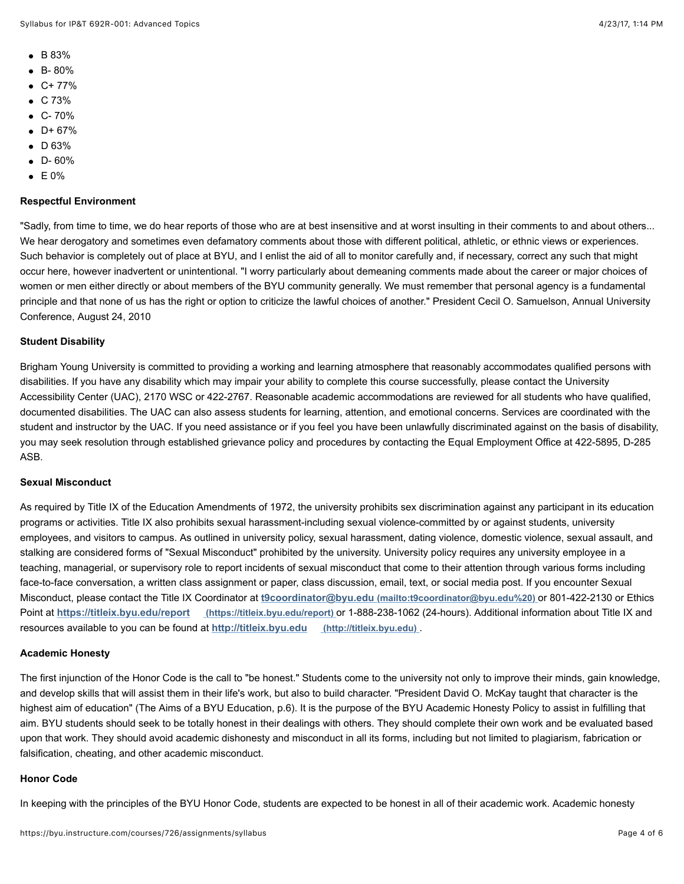- B 83%
- B- 80%
- $C+ 77%$
- $\bullet$  C 73%
- $-C 70%$
- $D + 67%$
- $\bullet$  D 63%
- $\bullet$  D-60%
- $\bullet$  E 0%

## **Respectful Environment**

"Sadly, from time to time, we do hear reports of those who are at best insensitive and at worst insulting in their comments to and about others... We hear derogatory and sometimes even defamatory comments about those with different political, athletic, or ethnic views or experiences. Such behavior is completely out of place at BYU, and I enlist the aid of all to monitor carefully and, if necessary, correct any such that might occur here, however inadvertent or unintentional. "I worry particularly about demeaning comments made about the career or major choices of women or men either directly or about members of the BYU community generally. We must remember that personal agency is a fundamental principle and that none of us has the right or option to criticize the lawful choices of another." President Cecil O. Samuelson, Annual University Conference, August 24, 2010

### **Student Disability**

Brigham Young University is committed to providing a working and learning atmosphere that reasonably accommodates qualified persons with disabilities. If you have any disability which may impair your ability to complete this course successfully, please contact the University Accessibility Center (UAC), 2170 WSC or 422-2767. Reasonable academic accommodations are reviewed for all students who have qualified, documented disabilities. The UAC can also assess students for learning, attention, and emotional concerns. Services are coordinated with the student and instructor by the UAC. If you need assistance or if you feel you have been unlawfully discriminated against on the basis of disability, you may seek resolution through established grievance policy and procedures by contacting the Equal Employment Office at 422-5895, D-285 ASB.

#### **Sexual Misconduct**

As required by Title IX of the Education Amendments of 1972, the university prohibits sex discrimination against any participant in its education programs or activities. Title IX also prohibits sexual harassment-including sexual violence-committed by or against students, university employees, and visitors to campus. As outlined in university policy, sexual harassment, dating violence, domestic violence, sexual assault, and stalking are considered forms of "Sexual Misconduct" prohibited by the university. University policy requires any university employee in a teaching, managerial, or supervisory role to report incidents of sexual misconduct that come to their attention through various forms including face-to-face conversation, a written class assignment or paper, class discussion, email, text, or social media post. If you encounter Sexual Misconduct, please contact the Title IX Coordinator at **[t9coordinator@byu.edu \(mailto:t9coordinator@byu.edu%20\)](mailto:t9coordinator@byu.edu%20)** or 801-422-2130 or Ethics Point at **[https://titleix.byu.edu/report \(https://titleix.byu.edu/report\)](https://titleix.byu.edu/report)** or 1-888-238-1062 (24-hours). Additional information about Title IX and resources available to you can be found at **[http://titleix.byu.edu \(http://titleix.byu.edu\)](http://titleix.byu.edu/)** .

#### **Academic Honesty**

The first injunction of the Honor Code is the call to "be honest." Students come to the university not only to improve their minds, gain knowledge, and develop skills that will assist them in their life's work, but also to build character. "President David O. McKay taught that character is the highest aim of education" (The Aims of a BYU Education, p.6). It is the purpose of the BYU Academic Honesty Policy to assist in fulfilling that aim. BYU students should seek to be totally honest in their dealings with others. They should complete their own work and be evaluated based upon that work. They should avoid academic dishonesty and misconduct in all its forms, including but not limited to plagiarism, fabrication or falsification, cheating, and other academic misconduct.

#### **Honor Code**

In keeping with the principles of the BYU Honor Code, students are expected to be honest in all of their academic work. Academic honesty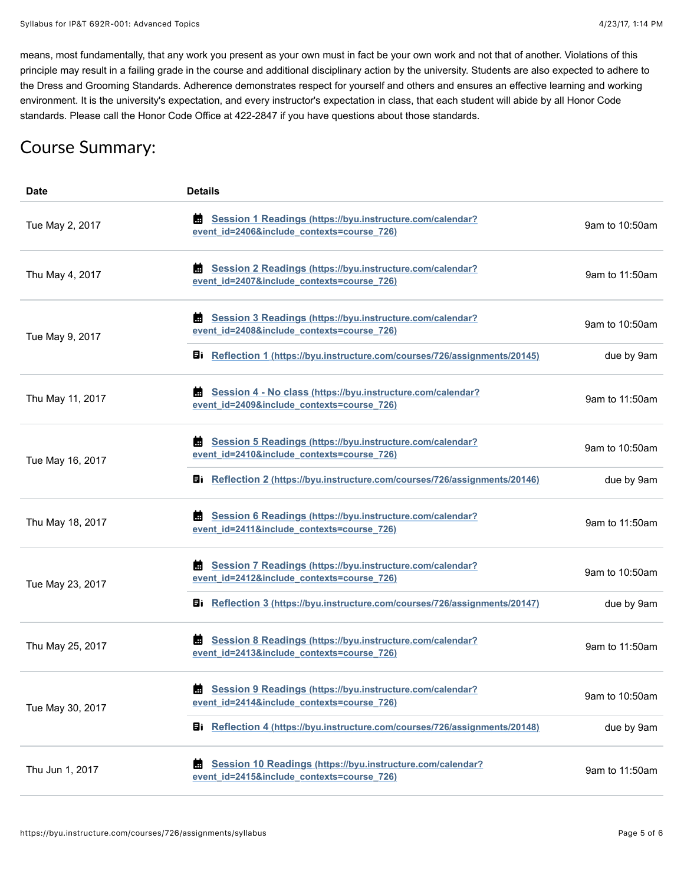means, most fundamentally, that any work you present as your own must in fact be your own work and not that of another. Violations of this principle may result in a failing grade in the course and additional disciplinary action by the university. Students are also expected to adhere to the Dress and Grooming Standards. Adherence demonstrates respect for yourself and others and ensures an effective learning and working environment. It is the university's expectation, and every instructor's expectation in class, that each student will abide by all Honor Code standards. Please call the Honor Code Office at 422-2847 if you have questions about those standards.

# Course Summary:

| Date             | <b>Details</b>                                                                                                 |                |
|------------------|----------------------------------------------------------------------------------------------------------------|----------------|
| Tue May 2, 2017  | Session 1 Readings (https://byu.instructure.com/calendar?<br>м<br>event_id=2406&include_contexts=course_726)   | 9am to 10:50am |
| Thu May 4, 2017  | Session 2 Readings (https://byu.instructure.com/calendar?<br>event_id=2407&include_contexts=course_726)        | 9am to 11:50am |
| Tue May 9, 2017  | Session 3 Readings (https://byu.instructure.com/calendar?<br>Ш<br>event_id=2408&include_contexts=course_726)   | 9am to 10:50am |
|                  | Ei Reflection 1 (https://byu.instructure.com/courses/726/assignments/20145)                                    | due by 9am     |
| Thu May 11, 2017 | Session 4 - No class (https://byu.instructure.com/calendar?<br>Ш<br>event_id=2409&include_contexts=course_726) | 9am to 11:50am |
| Tue May 16, 2017 | Session 5 Readings (https://byu.instructure.com/calendar?<br>Ш<br>event_id=2410&include_contexts=course_726)   | 9am to 10:50am |
|                  | Ei Reflection 2 (https://byu.instructure.com/courses/726/assignments/20146)                                    | due by 9am     |
| Thu May 18, 2017 | Session 6 Readings (https://byu.instructure.com/calendar?<br>event_id=2411&include_contexts=course_726)        | 9am to 11:50am |
| Tue May 23, 2017 | Session 7 Readings (https://byu.instructure.com/calendar?<br>Ш<br>event_id=2412&include_contexts=course_726)   | 9am to 10:50am |
|                  | Ei Reflection 3 (https://byu.instructure.com/courses/726/assignments/20147)                                    | due by 9am     |
| Thu May 25, 2017 | Session 8 Readings (https://byu.instructure.com/calendar?<br>I.<br>event_id=2413&include_contexts=course_726)  | 9am to 11:50am |
| Tue May 30, 2017 | Session 9 Readings (https://byu.instructure.com/calendar?<br>event id=2414&include contexts=course 726)        | 9am to 10:50am |
|                  | <b>目i</b> Reflection 4 (https://byu.instructure.com/courses/726/assignments/20148)                             | due by 9am     |
| Thu Jun 1, 2017  | Session 10 Readings (https://byu.instructure.com/calendar?<br>event id=2415&include contexts=course 726)       | 9am to 11:50am |